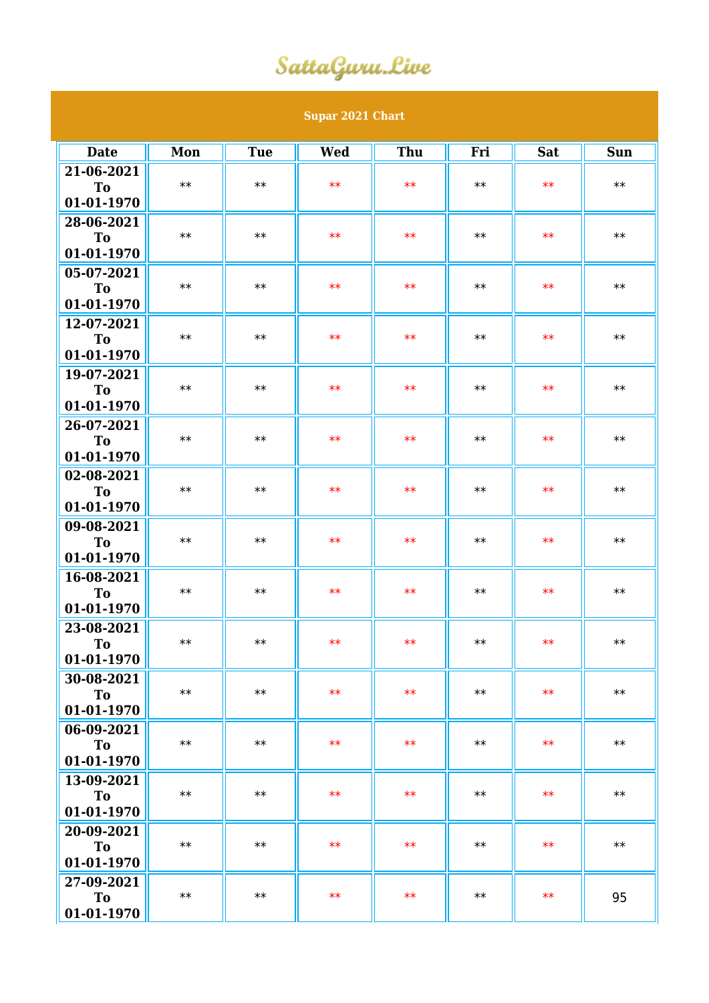## SattaGuru.Live

| <b>Supar 2021 Chart</b>      |            |            |            |            |      |            |      |  |  |  |  |
|------------------------------|------------|------------|------------|------------|------|------------|------|--|--|--|--|
| <b>Date</b>                  | Mon        | <b>Tue</b> | <b>Wed</b> | Thu        | Fri  | <b>Sat</b> | Sun  |  |  |  |  |
| 21-06-2021                   |            |            |            |            |      |            |      |  |  |  |  |
| To                           | $**$       | $**$       | $**$       | $**$       | $**$ | $**$       | $**$ |  |  |  |  |
| 01-01-1970                   |            |            |            |            |      |            |      |  |  |  |  |
| 28-06-2021                   |            |            |            |            |      |            |      |  |  |  |  |
| <b>To</b>                    | $**$       | $**$       | $**$       | $**$       | $**$ | $**$       | $**$ |  |  |  |  |
| 01-01-1970                   |            |            |            |            |      |            |      |  |  |  |  |
| 05-07-2021                   |            |            |            |            |      |            |      |  |  |  |  |
| To                           | $**$       | $**$       | $**$       | $**$       | $**$ | $**$       | $**$ |  |  |  |  |
| 01-01-1970                   |            |            |            |            |      |            |      |  |  |  |  |
| 12-07-2021                   | $**$       | $**$       | $**$       | $**$       | $**$ | $**$       | $**$ |  |  |  |  |
| <b>To</b><br>01-01-1970      |            |            |            |            |      |            |      |  |  |  |  |
| 19-07-2021                   |            |            |            |            |      |            |      |  |  |  |  |
| <b>To</b>                    | $**$       | $**$       | $**$       | $**$       | $**$ | $**$       | $**$ |  |  |  |  |
| 01-01-1970                   |            |            |            |            |      |            |      |  |  |  |  |
| 26-07-2021                   |            |            |            |            |      |            |      |  |  |  |  |
| T <sub>o</sub>               | $\ast\ast$ | $**$       | $**$       | $**$       | $**$ | $**$       | $**$ |  |  |  |  |
| 01-01-1970                   |            |            |            |            |      |            |      |  |  |  |  |
| 02-08-2021                   |            |            |            |            |      |            |      |  |  |  |  |
| <b>To</b>                    | $**$       | $**$       | $**$       | $**$       | $**$ | $**$       | $**$ |  |  |  |  |
| 01-01-1970                   |            |            |            |            |      |            |      |  |  |  |  |
| 09-08-2021                   | $**$       | $**$       | $**$       | $**$       | $**$ | $**$       | $**$ |  |  |  |  |
| T <sub>o</sub><br>01-01-1970 |            |            |            |            |      |            |      |  |  |  |  |
| 16-08-2021                   |            |            |            |            |      |            |      |  |  |  |  |
| <b>To</b>                    | $**$       | $**$       | $**$       | $**$       | $**$ | $**$       | $**$ |  |  |  |  |
| 01-01-1970                   |            |            |            |            |      |            |      |  |  |  |  |
| 23-08-2021                   |            |            |            |            |      |            |      |  |  |  |  |
| To                           | $**$       | $**$       | $\ast\ast$ | $\ast\ast$ | $**$ | $\ast\ast$ | $**$ |  |  |  |  |
| 01-01-1970                   |            |            |            |            |      |            |      |  |  |  |  |
| 30-08-2021                   |            |            |            |            |      |            |      |  |  |  |  |
| To                           | $**$       | $**$       | $**$       | $**$       | $**$ | $**$       | $**$ |  |  |  |  |
| 01-01-1970                   |            |            |            |            |      |            |      |  |  |  |  |
| 06-09-2021                   | $**$       | $**$       | $**$       | $**$       | $**$ | $**$       | $**$ |  |  |  |  |
| To<br>01-01-1970             |            |            |            |            |      |            |      |  |  |  |  |
| 13-09-2021                   |            |            |            |            |      |            |      |  |  |  |  |
| To                           | $**$       | $**$       | $**$       | $**$       | $**$ | $**$       | $**$ |  |  |  |  |
| 01-01-1970                   |            |            |            |            |      |            |      |  |  |  |  |
| 20-09-2021                   |            |            |            |            |      |            |      |  |  |  |  |
| To                           | $**$       | $**$       | $**$       | $**$       | $**$ | $**$       | $**$ |  |  |  |  |
| 01-01-1970                   |            |            |            |            |      |            |      |  |  |  |  |
| 27-09-2021                   |            |            |            |            |      |            |      |  |  |  |  |
| To                           | $**$       | $**$       | $**$       | $**$       | $**$ | $**$       | 95   |  |  |  |  |
| 01-01-1970                   |            |            |            |            |      |            |      |  |  |  |  |